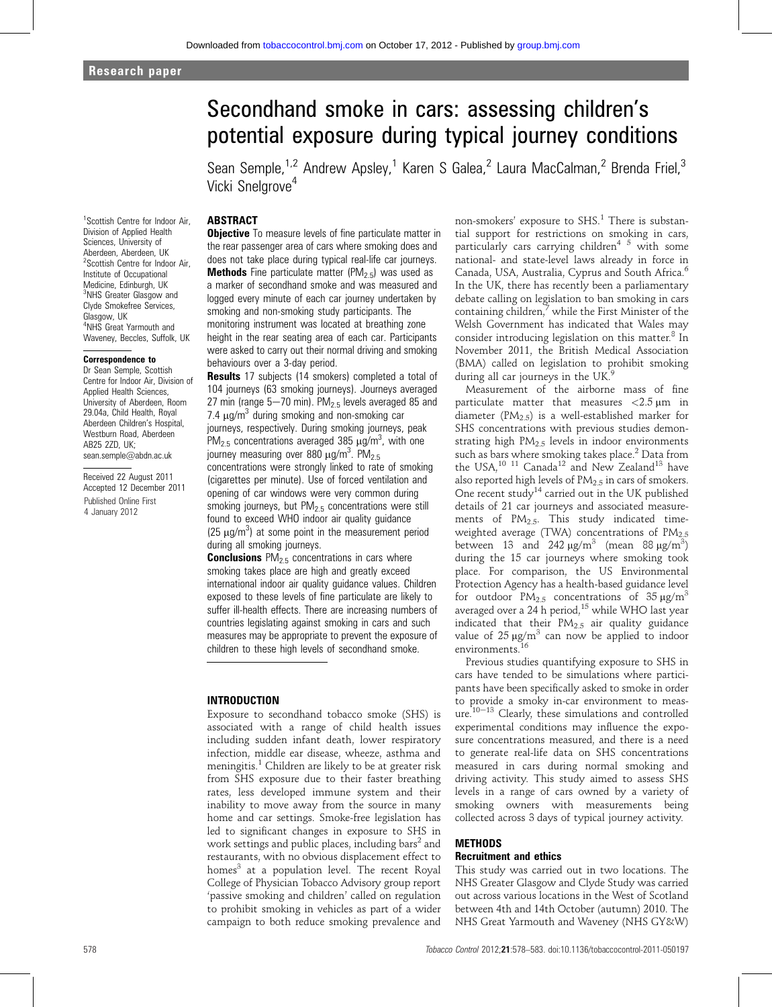# Secondhand smoke in cars: assessing children's potential exposure during typical journey conditions

Sean Semple,<sup>1,2</sup> Andrew Apsley,<sup>1</sup> Karen S Galea,<sup>2</sup> Laura MacCalman,<sup>2</sup> Brenda Friel,<sup>3</sup> Vicki Snelgrove<sup>4</sup>

# **ABSTRACT**

1 Scottish Centre for Indoor Air, Division of Applied Health Sciences, University of Aberdeen, Aberdeen, UK <sup>2</sup> Scottish Centre for Indoor Air, Institute of Occupational Medicine, Edinburgh, UK <sup>3</sup>NHS Greater Glasgow and Clyde Smokefree Services, Glasgow, UK 4 NHS Great Yarmouth and Waveney, Beccles, Suffolk, UK

#### Correspondence to

Dr Sean Semple, Scottish Centre for Indoor Air, Division of Applied Health Sciences, University of Aberdeen, Room 29.04a, Child Health, Royal Aberdeen Children's Hospital, Westburn Road, Aberdeen AB25 2ZD, UK; sean.semple@abdn.ac.uk

Received 22 August 2011 Accepted 12 December 2011 Published Online First 4 January 2012

**Objective** To measure levels of fine particulate matter in the rear passenger area of cars where smoking does and does not take place during typical real-life car journeys. **Methods** Fine particulate matter (PM<sub>2.5</sub>) was used as a marker of secondhand smoke and was measured and logged every minute of each car journey undertaken by smoking and non-smoking study participants. The monitoring instrument was located at breathing zone height in the rear seating area of each car. Participants were asked to carry out their normal driving and smoking behaviours over a 3-day period.

Results 17 subjects (14 smokers) completed a total of 104 journeys (63 smoking journeys). Journeys averaged 27 min (range  $5-70$  min). PM<sub>2.5</sub> levels averaged 85 and 7.4  $\mu$ g/m<sup>3</sup> during smoking and non-smoking car journeys, respectively. During smoking journeys, peak  $PM_{2.5}$  concentrations averaged 385  $\mu$ g/m<sup>3</sup>, with one journey measuring over  $880 \mu g/m^3$ . PM<sub>2.5</sub> concentrations were strongly linked to rate of smoking

(cigarettes per minute). Use of forced ventilation and opening of car windows were very common during smoking journeys, but  $PM<sub>2.5</sub>$  concentrations were still found to exceed WHO indoor air quality guidance  $(25 \mu g/m^3)$  at some point in the measurement period during all smoking journeys.

**Conclusions**  $PM<sub>2.5</sub>$  concentrations in cars where smoking takes place are high and greatly exceed international indoor air quality guidance values. Children exposed to these levels of fine particulate are likely to suffer ill-health effects. There are increasing numbers of countries legislating against smoking in cars and such measures may be appropriate to prevent the exposure of children to these high levels of secondhand smoke.

#### INTRODUCTION

Exposure to secondhand tobacco smoke (SHS) is associated with a range of child health issues including sudden infant death, lower respiratory infection, middle ear disease, wheeze, asthma and meningitis.<sup>1</sup> Children are likely to be at greater risk from SHS exposure due to their faster breathing rates, less developed immune system and their inability to move away from the source in many home and car settings. Smoke-free legislation has led to significant changes in exposure to SHS in work settings and public places, including bars<sup>2</sup> and restaurants, with no obvious displacement effect to homes<sup>3</sup> at a population level. The recent Royal College of Physician Tobacco Advisory group report 'passive smoking and children' called on regulation to prohibit smoking in vehicles as part of a wider campaign to both reduce smoking prevalence and non-smokers' exposure to  $SHS$ <sup>1</sup>. There is substantial support for restrictions on smoking in cars, particularly cars carrying children<sup>4 5</sup> with some national- and state-level laws already in force in Canada, USA, Australia, Cyprus and South Africa.<sup>6</sup> In the UK, there has recently been a parliamentary debate calling on legislation to ban smoking in cars containing children, $\frac{7}{7}$  while the First Minister of the Welsh Government has indicated that Wales may consider introducing legislation on this matter.<sup>8</sup> In November 2011, the British Medical Association (BMA) called on legislation to prohibit smoking during all car journeys in the UK.<sup>9</sup>

Measurement of the airborne mass of fine particulate matter that measures  $\langle 2.5 \text{ }\mu \text{m} \rangle$  in diameter (PM<sub>2.5</sub>) is a well-established marker for SHS concentrations with previous studies demonstrating high  $PM<sub>2.5</sub>$  levels in indoor environments such as bars where smoking takes place.<sup>2</sup> Data from the USA, $^{10}$  <sup>11</sup> Canada<sup>12</sup> and New Zealand<sup>13</sup> have also reported high levels of  $PM_{2.5}$  in cars of smokers. One recent study<sup>14</sup> carried out in the UK published details of 21 car journeys and associated measurements of  $PM_{2.5}$ . This study indicated timeweighted average (TWA) concentrations of  $PM_{2.5}$ between 13 and 242  $\mu$ g/m<sup>3</sup> (mean 88  $\mu$ g/m<sup>3</sup>) during the 15 car journeys where smoking took place. For comparison, the US Environmental Protection Agency has a health-based guidance level for outdoor  $PM_{2.5}$  concentrations of 35  $\mu$ g/m<sup>3</sup> averaged over a 24 h period, $15$  while WHO last year indicated that their  $PM<sub>2.5</sub>$  air quality guidance value of  $25 \mu g/m^3$  can now be applied to indoor environments.

Previous studies quantifying exposure to SHS in cars have tended to be simulations where participants have been specifically asked to smoke in order to provide a smoky in-car environment to meas $ure<sup>10-13</sup>$  Clearly, these simulations and controlled experimental conditions may influence the exposure concentrations measured, and there is a need to generate real-life data on SHS concentrations measured in cars during normal smoking and driving activity. This study aimed to assess SHS levels in a range of cars owned by a variety of smoking owners with measurements being collected across 3 days of typical journey activity.

#### **METHODS**

## Recruitment and ethics

This study was carried out in two locations. The NHS Greater Glasgow and Clyde Study was carried out across various locations in the West of Scotland between 4th and 14th October (autumn) 2010. The NHS Great Yarmouth and Waveney (NHS GY&W)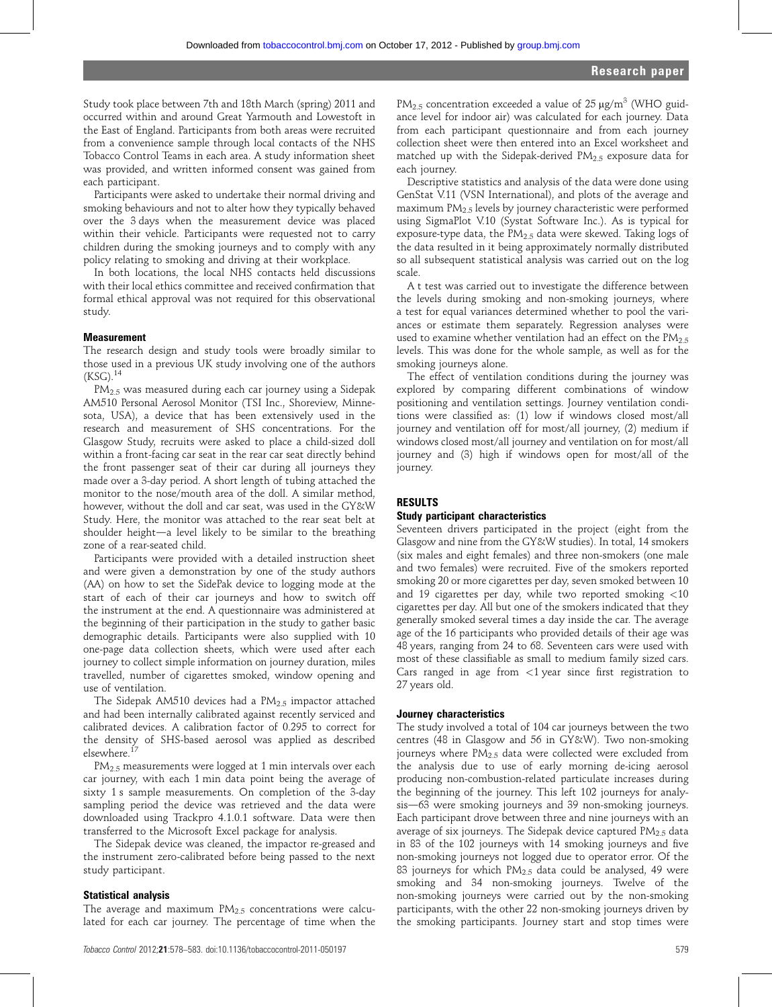Study took place between 7th and 18th March (spring) 2011 and occurred within and around Great Yarmouth and Lowestoft in the East of England. Participants from both areas were recruited from a convenience sample through local contacts of the NHS Tobacco Control Teams in each area. A study information sheet was provided, and written informed consent was gained from each participant.

Participants were asked to undertake their normal driving and smoking behaviours and not to alter how they typically behaved over the 3 days when the measurement device was placed within their vehicle. Participants were requested not to carry children during the smoking journeys and to comply with any policy relating to smoking and driving at their workplace.

In both locations, the local NHS contacts held discussions with their local ethics committee and received confirmation that formal ethical approval was not required for this observational study.

#### **Measurement**

The research design and study tools were broadly similar to those used in a previous UK study involving one of the authors  $(KSG).<sup>14</sup>$ 

PM2.5 was measured during each car journey using a Sidepak AM510 Personal Aerosol Monitor (TSI Inc., Shoreview, Minnesota, USA), a device that has been extensively used in the research and measurement of SHS concentrations. For the Glasgow Study, recruits were asked to place a child-sized doll within a front-facing car seat in the rear car seat directly behind the front passenger seat of their car during all journeys they made over a 3-day period. A short length of tubing attached the monitor to the nose/mouth area of the doll. A similar method, however, without the doll and car seat, was used in the GY&W Study. Here, the monitor was attached to the rear seat belt at shoulder height-a level likely to be similar to the breathing zone of a rear-seated child.

Participants were provided with a detailed instruction sheet and were given a demonstration by one of the study authors (AA) on how to set the SidePak device to logging mode at the start of each of their car journeys and how to switch off the instrument at the end. A questionnaire was administered at the beginning of their participation in the study to gather basic demographic details. Participants were also supplied with 10 one-page data collection sheets, which were used after each journey to collect simple information on journey duration, miles travelled, number of cigarettes smoked, window opening and use of ventilation.

The Sidepak AM510 devices had a  $PM<sub>2.5</sub>$  impactor attached and had been internally calibrated against recently serviced and calibrated devices. A calibration factor of 0.295 to correct for the density of SHS-based aerosol was applied as described elsewhere.<sup>17</sup>

PM2.5 measurements were logged at 1 min intervals over each car journey, with each 1 min data point being the average of sixty 1 s sample measurements. On completion of the 3-day sampling period the device was retrieved and the data were downloaded using Trackpro 4.1.0.1 software. Data were then transferred to the Microsoft Excel package for analysis.

The Sidepak device was cleaned, the impactor re-greased and the instrument zero-calibrated before being passed to the next study participant.

#### Statistical analysis

The average and maximum  $PM<sub>2.5</sub>$  concentrations were calculated for each car journey. The percentage of time when the

PM<sub>2.5</sub> concentration exceeded a value of 25  $\mu$ g/m<sup>3</sup> (WHO guidance level for indoor air) was calculated for each journey. Data from each participant questionnaire and from each journey collection sheet were then entered into an Excel worksheet and matched up with the Sidepak-derived  $PM_{2.5}$  exposure data for each journey.

Descriptive statistics and analysis of the data were done using GenStat V.11 (VSN International), and plots of the average and maximum  $PM<sub>2.5</sub>$  levels by journey characteristic were performed using SigmaPlot V.10 (Systat Software Inc.). As is typical for exposure-type data, the  $PM<sub>2.5</sub>$  data were skewed. Taking logs of the data resulted in it being approximately normally distributed so all subsequent statistical analysis was carried out on the log scale.

A t test was carried out to investigate the difference between the levels during smoking and non-smoking journeys, where a test for equal variances determined whether to pool the variances or estimate them separately. Regression analyses were used to examine whether ventilation had an effect on the  $PM_{2.5}$ levels. This was done for the whole sample, as well as for the smoking journeys alone.

The effect of ventilation conditions during the journey was explored by comparing different combinations of window positioning and ventilation settings. Journey ventilation conditions were classified as: (1) low if windows closed most/all journey and ventilation off for most/all journey, (2) medium if windows closed most/all journey and ventilation on for most/all journey and (3) high if windows open for most/all of the journey.

#### RESULTS

#### Study participant characteristics

Seventeen drivers participated in the project (eight from the Glasgow and nine from the GY&W studies). In total, 14 smokers (six males and eight females) and three non-smokers (one male and two females) were recruited. Five of the smokers reported smoking 20 or more cigarettes per day, seven smoked between 10 and 19 cigarettes per day, while two reported smoking <10 cigarettes per day. All but one of the smokers indicated that they generally smoked several times a day inside the car. The average age of the 16 participants who provided details of their age was 48 years, ranging from 24 to 68. Seventeen cars were used with most of these classifiable as small to medium family sized cars. Cars ranged in age from  $\langle 1 \rangle$  year since first registration to 27 years old.

#### Journey characteristics

The study involved a total of 104 car journeys between the two centres (48 in Glasgow and 56 in GY&W). Two non-smoking journeys where  $PM_{2.5}$  data were collected were excluded from the analysis due to use of early morning de-icing aerosol producing non-combustion-related particulate increases during the beginning of the journey. This left 102 journeys for analysis-63 were smoking journeys and 39 non-smoking journeys. Each participant drove between three and nine journeys with an average of six journeys. The Sidepak device captured  $PM_{2.5}$  data in 83 of the 102 journeys with 14 smoking journeys and five non-smoking journeys not logged due to operator error. Of the 83 journeys for which  $PM<sub>2.5</sub>$  data could be analysed, 49 were smoking and 34 non-smoking journeys. Twelve of the non-smoking journeys were carried out by the non-smoking participants, with the other 22 non-smoking journeys driven by the smoking participants. Journey start and stop times were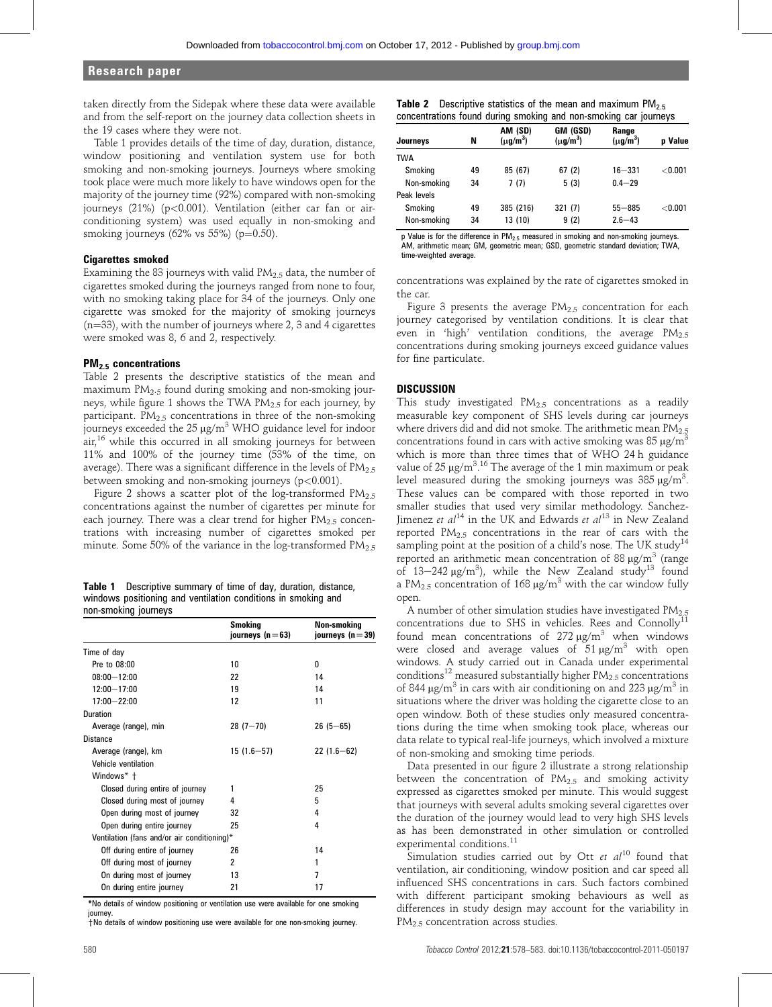### Research paper

taken directly from the Sidepak where these data were available and from the self-report on the journey data collection sheets in the 19 cases where they were not.

Table 1 provides details of the time of day, duration, distance, window positioning and ventilation system use for both smoking and non-smoking journeys. Journeys where smoking took place were much more likely to have windows open for the majority of the journey time (92%) compared with non-smoking journeys (21%) (p<0.001). Ventilation (either car fan or airconditioning system) was used equally in non-smoking and smoking journeys (62% vs  $55\%$ ) (p=0.50).

#### Cigarettes smoked

Examining the 83 journeys with valid  $PM<sub>2.5</sub>$  data, the number of cigarettes smoked during the journeys ranged from none to four, with no smoking taking place for 34 of the journeys. Only one cigarette was smoked for the majority of smoking journeys  $(n=33)$ , with the number of journeys where 2, 3 and 4 cigarettes were smoked was 8, 6 and 2, respectively.

#### PM2.5 concentrations

Table 2 presents the descriptive statistics of the mean and maximum  $PM<sub>2.5</sub>$  found during smoking and non-smoking journeys, while figure 1 shows the TWA  $PM<sub>2.5</sub>$  for each journey, by participant.  $PM_{2.5}$  concentrations in three of the non-smoking journeys exceeded the 25  $\mu$ g/m<sup>3</sup> WHO guidance level for indoor  $air<sub>16</sub>$ <sup>16</sup> while this occurred in all smoking journeys for between 11% and 100% of the journey time (53% of the time, on average). There was a significant difference in the levels of  $PM_{2,5}$ between smoking and non-smoking journeys  $(p<0.001)$ .

Figure 2 shows a scatter plot of the log-transformed  $PM_{2.5}$ concentrations against the number of cigarettes per minute for each journey. There was a clear trend for higher  $PM_{2.5}$  concentrations with increasing number of cigarettes smoked per minute. Some 50% of the variance in the log-transformed  $PM_{2.5}$ 

Table 1 Descriptive summary of time of day, duration, distance, windows positioning and ventilation conditions in smoking and non-smoking journeys

|                                             | <b>Smoking</b><br>journeys $(n=63)$ | Non-smoking<br>journeys $(n=39)$ |
|---------------------------------------------|-------------------------------------|----------------------------------|
| Time of day                                 |                                     |                                  |
| Pre to 08:00                                | 10                                  | <sub>0</sub>                     |
| $08:00 - 12:00$                             | 22                                  | 14                               |
| 12:00-17:00                                 | 19                                  | 14                               |
| $17:00 - 22:00$                             | 12                                  | 11                               |
| Duration                                    |                                     |                                  |
| Average (range), min                        | $28(7-70)$                          | $26(5-65)$                       |
| <b>Distance</b>                             |                                     |                                  |
| Average (range), km                         | $15(1.6 - 57)$                      | $22(1.6-62)$                     |
| Vehicle ventilation                         |                                     |                                  |
| Windows* +                                  |                                     |                                  |
| Closed during entire of journey             | 1                                   | 25                               |
| Closed during most of journey               | 4                                   | 5                                |
| Open during most of journey                 | 32                                  | 4                                |
| Open during entire journey                  | 25                                  | 4                                |
| Ventilation (fans and/or air conditioning)* |                                     |                                  |
| Off during entire of journey                | 26                                  | 14                               |
| Off during most of journey                  | 2                                   | 1                                |
| On during most of journey                   | 13                                  | 7                                |
| On during entire journey                    | 21                                  | 17                               |

\*No details of window positioning or ventilation use were available for one smoking journey

+No details of window positioning use were available for one non-smoking journey.

| <b>Table 2</b> Descriptive statistics of the mean and maximum $PM_{2.5}$ |  |  |  |  |
|--------------------------------------------------------------------------|--|--|--|--|
| concentrations found during smoking and non-smoking car journeys         |  |  |  |  |

|             |    |                          | ີ                         |                        |           |
|-------------|----|--------------------------|---------------------------|------------------------|-----------|
| Journeys    | Ν  | AM (SD)<br>$(\mu q/m^3)$ | GM (GSD)<br>$(\mu q/m^3)$ | Range<br>$(\mu g/m^3)$ | p Value   |
| <b>TWA</b>  |    |                          |                           |                        |           |
| Smoking     | 49 | 85 (67)                  | 67(2)                     | $16 - 331$             | < 0.001   |
| Non-smoking | 34 | 7(7)                     | 5(3)                      | $0.4 - 29$             |           |
| Peak levels |    |                          |                           |                        |           |
| Smoking     | 49 | 385 (216)                | 321(7)                    | $55 - 885$             | $<$ 0.001 |
| Non-smoking | 34 | 13 (10)                  | 9(2)                      | $2.6 - 43$             |           |
|             |    |                          |                           |                        |           |

p Value is for the difference in  $PM_{2.5}$  measured in smoking and non-smoking journeys. AM, arithmetic mean; GM, geometric mean; GSD, geometric standard deviation; TWA, time-weighted average.

concentrations was explained by the rate of cigarettes smoked in the car.

Figure 3 presents the average  $PM<sub>2.5</sub>$  concentration for each journey categorised by ventilation conditions. It is clear that even in 'high' ventilation conditions, the average  $PM_{2.5}$ concentrations during smoking journeys exceed guidance values for fine particulate.

# **DISCUSSION**

This study investigated  $PM_{2.5}$  concentrations as a readily measurable key component of SHS levels during car journeys where drivers did and did not smoke. The arithmetic mean  $PM_{2.5}$ concentrations found in cars with active smoking was  $85 \mu g/m^3$ which is more than three times that of WHO 24 h guidance value of  $25 \mu g/m^3$ .<sup>16</sup> The average of the 1 min maximum or peak level measured during the smoking journeys was  $385 \text{ }\mu\text{g/m}^3$ . These values can be compared with those reported in two smaller studies that used very similar methodology. Sanchez-Jimenez et  $aI^{14}$  in the UK and Edwards et  $aI^{13}$  in New Zealand reported PM2.5 concentrations in the rear of cars with the sampling point at the position of a child's nose. The UK study<sup>14</sup> reported an arithmetic mean concentration of 88  $\mu$ g/m<sup>3</sup> (range of  $13-242 \mu g/m^3$ ), while the New Zealand study<sup>13</sup> found a PM<sub>2.5</sub> concentration of 168  $\mu$ g/m<sup>3</sup> with the car window fully open.

A number of other simulation studies have investigated  $PM_{2.5}$ concentrations due to SHS in vehicles. Rees and Connolly<sup>11</sup> found mean concentrations of  $272 \mu g/m^3$  when windows were closed and average values of  $51 \mu g/m^3$  with open windows. A study carried out in Canada under experimental conditions<sup>12</sup> measured substantially higher  $PM<sub>2.5</sub>$  concentrations of 844  $\mu$ g/m<sup>3</sup> in cars with air conditioning on and 223  $\mu$ g/m<sup>3</sup> in situations where the driver was holding the cigarette close to an open window. Both of these studies only measured concentrations during the time when smoking took place, whereas our data relate to typical real-life journeys, which involved a mixture of non-smoking and smoking time periods.

Data presented in our figure 2 illustrate a strong relationship between the concentration of  $PM<sub>2.5</sub>$  and smoking activity expressed as cigarettes smoked per minute. This would suggest that journeys with several adults smoking several cigarettes over the duration of the journey would lead to very high SHS levels as has been demonstrated in other simulation or controlled experimental conditions.<sup>11</sup>

Simulation studies carried out by Ott et  $al^{10}$  found that ventilation, air conditioning, window position and car speed all influenced SHS concentrations in cars. Such factors combined with different participant smoking behaviours as well as differences in study design may account for the variability in  $PM<sub>2.5</sub>$  concentration across studies.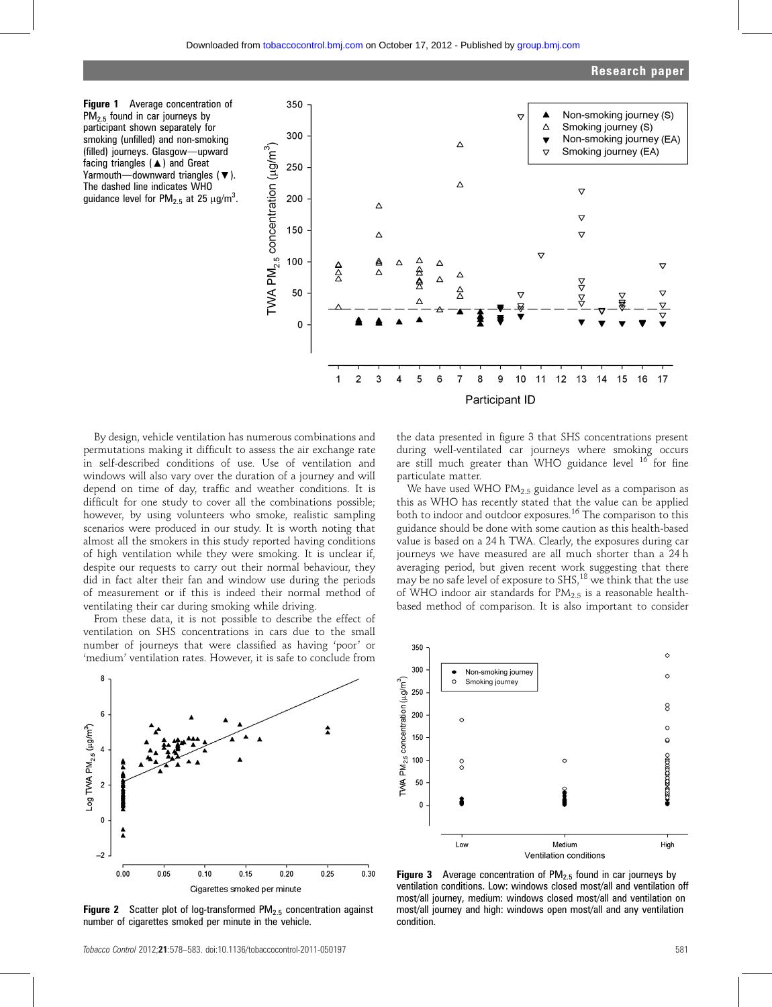



particulate matter.

By design, vehicle ventilation has numerous combinations and permutations making it difficult to assess the air exchange rate in self-described conditions of use. Use of ventilation and windows will also vary over the duration of a journey and will depend on time of day, traffic and weather conditions. It is difficult for one study to cover all the combinations possible; however, by using volunteers who smoke, realistic sampling scenarios were produced in our study. It is worth noting that almost all the smokers in this study reported having conditions of high ventilation while they were smoking. It is unclear if, despite our requests to carry out their normal behaviour, they did in fact alter their fan and window use during the periods of measurement or if this is indeed their normal method of ventilating their car during smoking while driving.

From these data, it is not possible to describe the effect of ventilation on SHS concentrations in cars due to the small number of journeys that were classified as having 'poor' or 'medium' ventilation rates. However, it is safe to conclude from

8 6 Log TVVA PM<sub>2.5</sub> (µg/m<sup>3</sup>) ÷  $\overline{2}$  $\mathbf 0$ î  $-2$  $0.00$  $0.05$  $0.25$  $0.10$  $0.15$  $0.20$  $0.30$ Cigarettes smoked per minute

**Figure 2** Scatter plot of log-transformed  $PM_{2.5}$  concentration against number of cigarettes smoked per minute in the vehicle.



the data presented in figure 3 that SHS concentrations present during well-ventilated car journeys where smoking occurs are still much greater than WHO guidance level  $16$  for fine

We have used WHO  $PM<sub>2.5</sub>$  guidance level as a comparison as this as WHO has recently stated that the value can be applied both to indoor and outdoor exposures.<sup>16</sup> The comparison to this guidance should be done with some caution as this health-based value is based on a 24 h TWA. Clearly, the exposures during car journeys we have measured are all much shorter than a 24 h averaging period, but given recent work suggesting that there may be no safe level of exposure to SHS,<sup>18</sup> we think that the use of WHO indoor air standards for  $PM_{2.5}$  is a reasonable healthbased method of comparison. It is also important to consider

**Figure 3** Average concentration of  $PM_{2.5}$  found in car journeys by ventilation conditions. Low: windows closed most/all and ventilation off most/all journey, medium: windows closed most/all and ventilation on most/all journey and high: windows open most/all and any ventilation condition.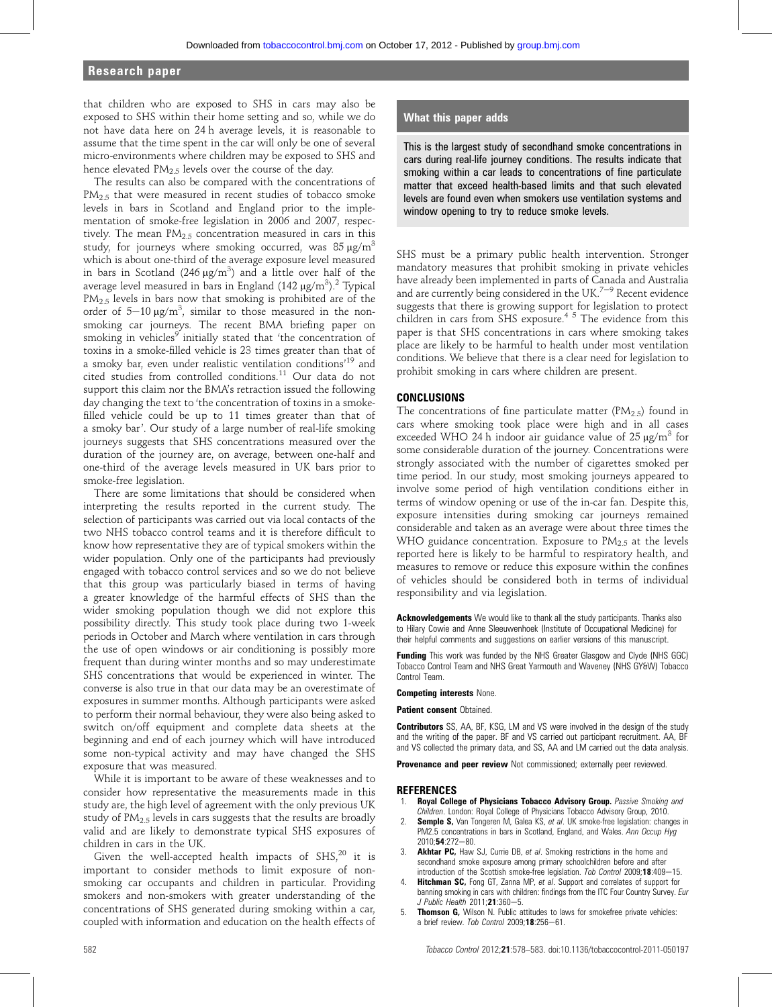that children who are exposed to SHS in cars may also be exposed to SHS within their home setting and so, while we do not have data here on 24 h average levels, it is reasonable to assume that the time spent in the car will only be one of several micro-environments where children may be exposed to SHS and hence elevated PM<sub>2.5</sub> levels over the course of the day.

The results can also be compared with the concentrations of  $PM<sub>2.5</sub>$  that were measured in recent studies of tobacco smoke levels in bars in Scotland and England prior to the implementation of smoke-free legislation in 2006 and 2007, respectively. The mean  $PM<sub>2.5</sub>$  concentration measured in cars in this study, for journeys where smoking occurred, was  $85 \mu g/m^3$ which is about one-third of the average exposure level measured in bars in Scotland (246  $\mu$ g/m $^3$ ) and a little over half of the average level measured in bars in England (142  $\mu$ g/m $^3$ ). $^2$  Typical  $PM_{2.5}$  levels in bars now that smoking is prohibited are of the order of  $5-10 \mu g/m^3$ , similar to those measured in the nonsmoking car journeys. The recent BMA briefing paper on smoking in vehicles<sup>9</sup> initially stated that 'the concentration of toxins in a smoke-filled vehicle is 23 times greater than that of a smoky bar, even under realistic ventilation conditions'<sup>19</sup> and cited studies from controlled conditions.<sup>11</sup> Our data do not support this claim nor the BMA's retraction issued the following day changing the text to 'the concentration of toxins in a smokefilled vehicle could be up to 11 times greater than that of a smoky bar'. Our study of a large number of real-life smoking journeys suggests that SHS concentrations measured over the duration of the journey are, on average, between one-half and one-third of the average levels measured in UK bars prior to smoke-free legislation.

There are some limitations that should be considered when interpreting the results reported in the current study. The selection of participants was carried out via local contacts of the two NHS tobacco control teams and it is therefore difficult to know how representative they are of typical smokers within the wider population. Only one of the participants had previously engaged with tobacco control services and so we do not believe that this group was particularly biased in terms of having a greater knowledge of the harmful effects of SHS than the wider smoking population though we did not explore this possibility directly. This study took place during two 1-week periods in October and March where ventilation in cars through the use of open windows or air conditioning is possibly more frequent than during winter months and so may underestimate SHS concentrations that would be experienced in winter. The converse is also true in that our data may be an overestimate of exposures in summer months. Although participants were asked to perform their normal behaviour, they were also being asked to switch on/off equipment and complete data sheets at the beginning and end of each journey which will have introduced some non-typical activity and may have changed the SHS exposure that was measured.

While it is important to be aware of these weaknesses and to consider how representative the measurements made in this study are, the high level of agreement with the only previous UK study of PM2.5 levels in cars suggests that the results are broadly valid and are likely to demonstrate typical SHS exposures of children in cars in the UK.

Given the well-accepted health impacts of  $SHS<sub>1</sub><sup>20</sup>$  it is important to consider methods to limit exposure of nonsmoking car occupants and children in particular. Providing smokers and non-smokers with greater understanding of the concentrations of SHS generated during smoking within a car, coupled with information and education on the health effects of This is the largest study of secondhand smoke concentrations in cars during real-life journey conditions. The results indicate that smoking within a car leads to concentrations of fine particulate matter that exceed health-based limits and that such elevated levels are found even when smokers use ventilation systems and window opening to try to reduce smoke levels.

SHS must be a primary public health intervention. Stronger mandatory measures that prohibit smoking in private vehicles have already been implemented in parts of Canada and Australia and are currently being considered in the UK. $7-9$  Recent evidence suggests that there is growing support for legislation to protect children in cars from SHS exposure.<sup>4 5</sup> The evidence from this paper is that SHS concentrations in cars where smoking takes place are likely to be harmful to health under most ventilation conditions. We believe that there is a clear need for legislation to prohibit smoking in cars where children are present.

### CONCLUSIONS

The concentrations of fine particulate matter ( $PM_{2.5}$ ) found in cars where smoking took place were high and in all cases exceeded WHO 24 h indoor air guidance value of  $25 \mu g/m^3$  for some considerable duration of the journey. Concentrations were strongly associated with the number of cigarettes smoked per time period. In our study, most smoking journeys appeared to involve some period of high ventilation conditions either in terms of window opening or use of the in-car fan. Despite this, exposure intensities during smoking car journeys remained considerable and taken as an average were about three times the WHO guidance concentration. Exposure to  $PM<sub>2.5</sub>$  at the levels reported here is likely to be harmful to respiratory health, and measures to remove or reduce this exposure within the confines of vehicles should be considered both in terms of individual responsibility and via legislation.

Acknowledgements We would like to thank all the study participants. Thanks also to Hilary Cowie and Anne Sleeuwenhoek (Institute of Occupational Medicine) for their helpful comments and suggestions on earlier versions of this manuscript.

Funding This work was funded by the NHS Greater Glasgow and Clyde (NHS GGC) Tobacco Control Team and NHS Great Yarmouth and Waveney (NHS GY&W) Tobacco Control Team.

Competing interests None.

Patient consent Obtained.

Contributors SS, AA, BF, KSG, LM and VS were involved in the design of the study and the writing of the paper. BF and VS carried out participant recruitment. AA, BF and VS collected the primary data, and SS, AA and LM carried out the data analysis.

Provenance and peer review Not commissioned; externally peer reviewed.

#### **REFERENCES**

- 1. Royal College of Physicians Tobacco Advisory Group. Passive Smoking and Children. London: Royal College of Physicians Tobacco Advisory Group, 2010.
- Semple S, Van Tongeren M, Galea KS, et al. UK smoke-free legislation: changes in PM2.5 concentrations in bars in Scotland, England, and Wales. Ann Occup Hyg 2010:54:272-80
- 3. **Akhtar PC,** Haw SJ, Currie DB, et al. Smoking restrictions in the home and secondhand smoke exposure among primary schoolchildren before and after introduction of the Scottish smoke-free legislation. Tob Control 2009;18:409-15.
- Hitchman SC, Fong GT, Zanna MP, et al. Support and correlates of support for banning smoking in cars with children: findings from the ITC Four Country Survey. Eur J Public Health  $2011;21:360-5$ .
- 5. Thomson G, Wilson N. Public attitudes to laws for smokefree private vehicles: a brief review. Tob Control 2009;18:256-61.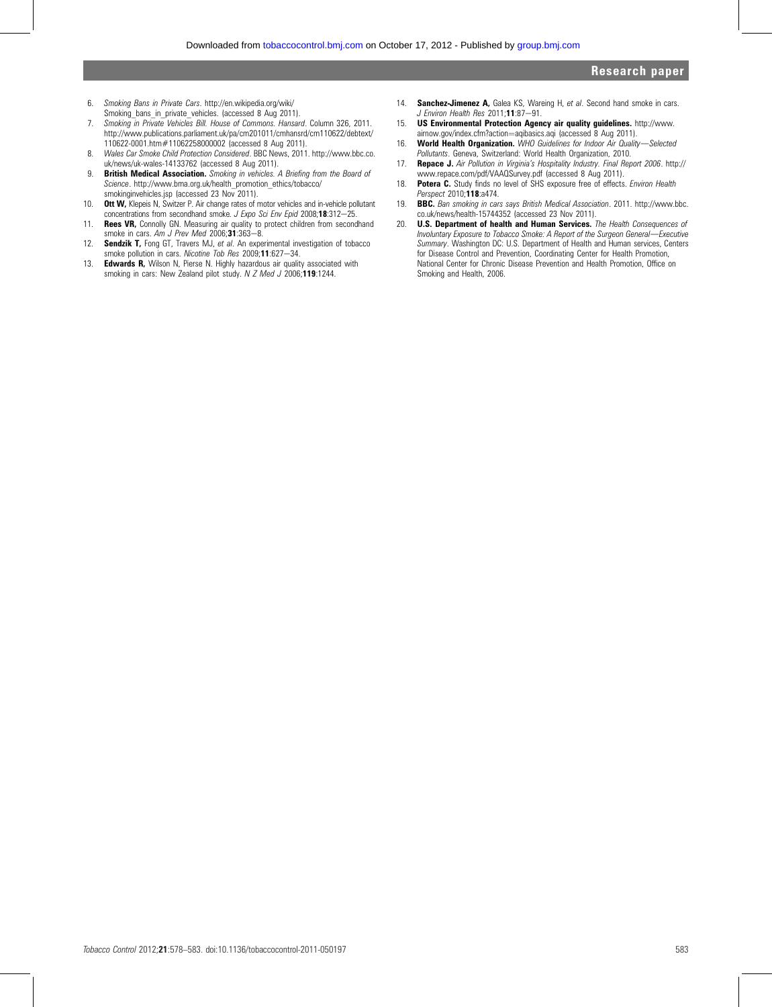- 6. Smoking Bans in Private Cars. http://en.wikipedia.org/wiki/ Smoking\_bans\_in\_private\_vehicles. (accessed 8 Aug 2011).
- 7. Smoking in Private Vehicles Bill. House of Commons. Hansard. Column 326, 2011. http://www.publications.parliament.uk/pa/cm201011/cmhansrd/cm110622/debtext/ 110622-0001.htm#11062258000002 (accessed 8 Aug 2011).
- 8. Wales Car Smoke Child Protection Considered. BBC News, 2011. http://www.bbc.co. uk/news/uk-wales-14133762 (accessed 8 Aug 2011).
- 9. **British Medical Association.** Smoking in vehicles. A Briefing from the Board of Science. http://www.bma.org.uk/health\_promotion\_ethics/tobacco/ smokinginvehicles.jsp (accessed 23 Nov 2011).
- 10. **Ott W**, Klepeis N, Switzer P. Air change rates of motor vehicles and in-vehicle pollutant concentrations from secondhand smoke. J Expo Sci Env Epid 2008;18:312-25.
- 11. Rees VR, Connolly GN. Measuring air quality to protect children from secondhand smoke in cars. Am J Prev Med  $2006,31:363-8$ .
- 12. **Sendzik T,** Fong GT, Travers MJ, et al. An experimental investigation of tobacco smoke pollution in cars. Nicotine Tob Res 2009;11:627-34.
- 13. Edwards R, Wilson N, Pierse N. Highly hazardous air quality associated with smoking in cars: New Zealand pilot study. N Z Med J 2006;119:1244.
- 14. **Sanchez-Jimenez A**, Galea KS, Wareing H, et al. Second hand smoke in cars. J Environ Health Res 2011;11:87-91.
- 15. US Environmental Protection Agency air quality guidelines. http://www. airnow.gov/index.cfm?action=aqibasics.aqi (accessed 8 Aug 2011).
- 16. World Health Organization. WHO Guidelines for Indoor Air Quality-Selected Pollutants. Geneva, Switzerland: World Health Organization, 2010.
- 17. **Repace J.** Air Pollution in Virginia's Hospitality Industry. Final Report 2006. http:// www.repace.com/pdf/VAAQSurvey.pdf (accessed 8 Aug 2011).
- 18. Potera C. Study finds no level of SHS exposure free of effects. Environ Health Perspect 2010;118:a474.
- 19. BBC. Ban smoking in cars says British Medical Association. 2011. http://www.bbc. co.uk/news/health-15744352 (accessed 23 Nov 2011).
- 20. **U.S. Department of health and Human Services.** The Health Consequences of Involuntary Exposure to Tobacco Smoke: A Report of the Surgeon General–Executive Summary. Washington DC: U.S. Department of Health and Human services, Centers for Disease Control and Prevention, Coordinating Center for Health Promotion, National Center for Chronic Disease Prevention and Health Promotion, Office on Smoking and Health, 2006.